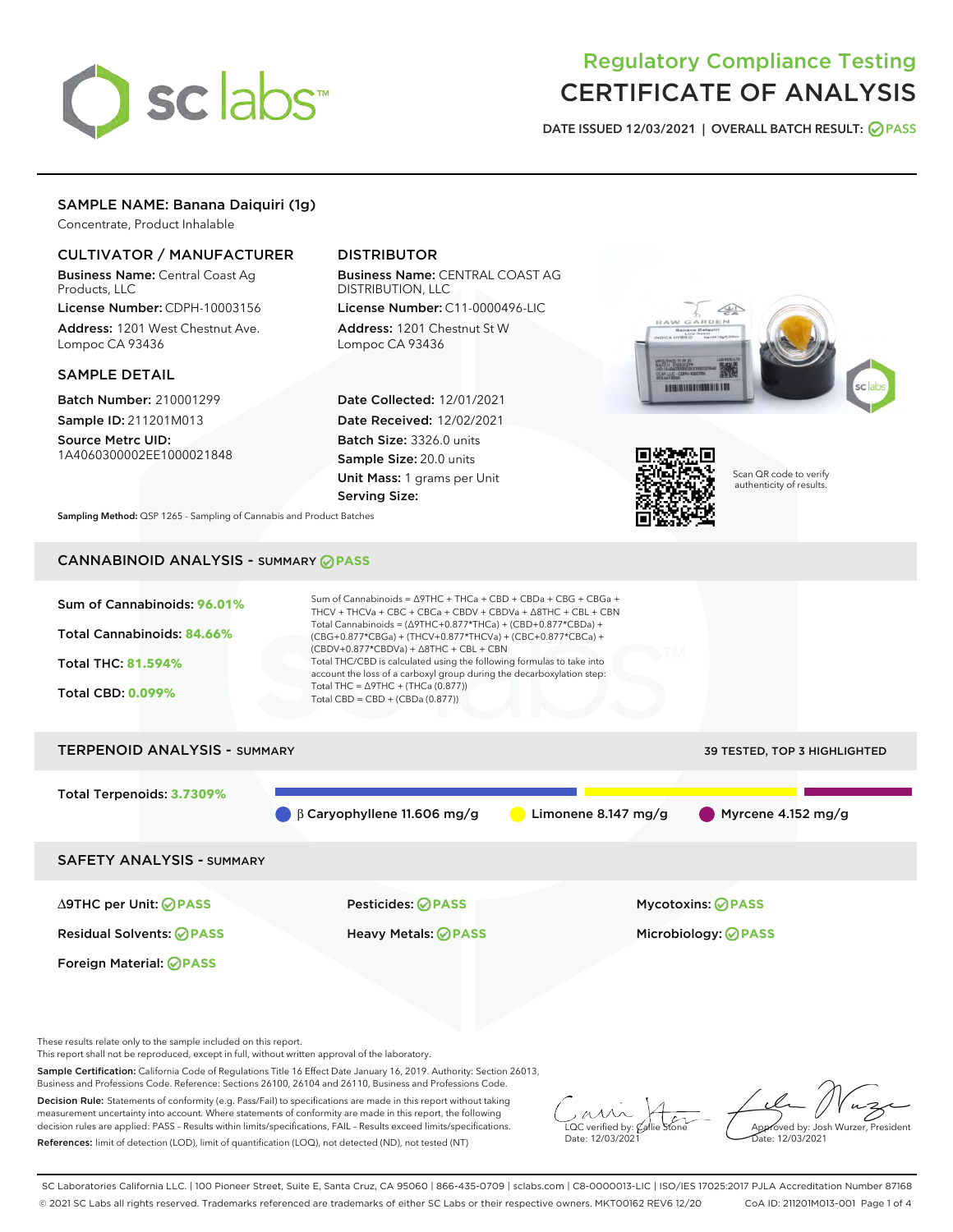

# Regulatory Compliance Testing CERTIFICATE OF ANALYSIS

DATE ISSUED 12/03/2021 | OVERALL BATCH RESULT: @ PASS

# SAMPLE NAME: Banana Daiquiri (1g)

Concentrate, Product Inhalable

# CULTIVATOR / MANUFACTURER

Business Name: Central Coast Ag Products, LLC

License Number: CDPH-10003156 Address: 1201 West Chestnut Ave. Lompoc CA 93436

#### SAMPLE DETAIL

Batch Number: 210001299 Sample ID: 211201M013

Source Metrc UID: 1A4060300002EE1000021848

# DISTRIBUTOR

Business Name: CENTRAL COAST AG DISTRIBUTION, LLC License Number: C11-0000496-LIC

Address: 1201 Chestnut St W Lompoc CA 93436

Date Collected: 12/01/2021 Date Received: 12/02/2021 Batch Size: 3326.0 units Sample Size: 20.0 units Unit Mass: 1 grams per Unit Serving Size:





Scan QR code to verify authenticity of results.

Sampling Method: QSP 1265 - Sampling of Cannabis and Product Batches

# CANNABINOID ANALYSIS - SUMMARY **PASS**



These results relate only to the sample included on this report.

This report shall not be reproduced, except in full, without written approval of the laboratory.

Sample Certification: California Code of Regulations Title 16 Effect Date January 16, 2019. Authority: Section 26013, Business and Professions Code. Reference: Sections 26100, 26104 and 26110, Business and Professions Code.

Decision Rule: Statements of conformity (e.g. Pass/Fail) to specifications are made in this report without taking measurement uncertainty into account. Where statements of conformity are made in this report, the following decision rules are applied: PASS – Results within limits/specifications, FAIL – Results exceed limits/specifications. References: limit of detection (LOD), limit of quantification (LOQ), not detected (ND), not tested (NT)

 $\overline{\text{C}}$  verified by:  $\mathcal C$ Date: 12/03/2021

Aved by: Josh Wurzer, President ate: 12/03/2021

SC Laboratories California LLC. | 100 Pioneer Street, Suite E, Santa Cruz, CA 95060 | 866-435-0709 | sclabs.com | C8-0000013-LIC | ISO/IES 17025:2017 PJLA Accreditation Number 87168 © 2021 SC Labs all rights reserved. Trademarks referenced are trademarks of either SC Labs or their respective owners. MKT00162 REV6 12/20 CoA ID: 211201M013-001 Page 1 of 4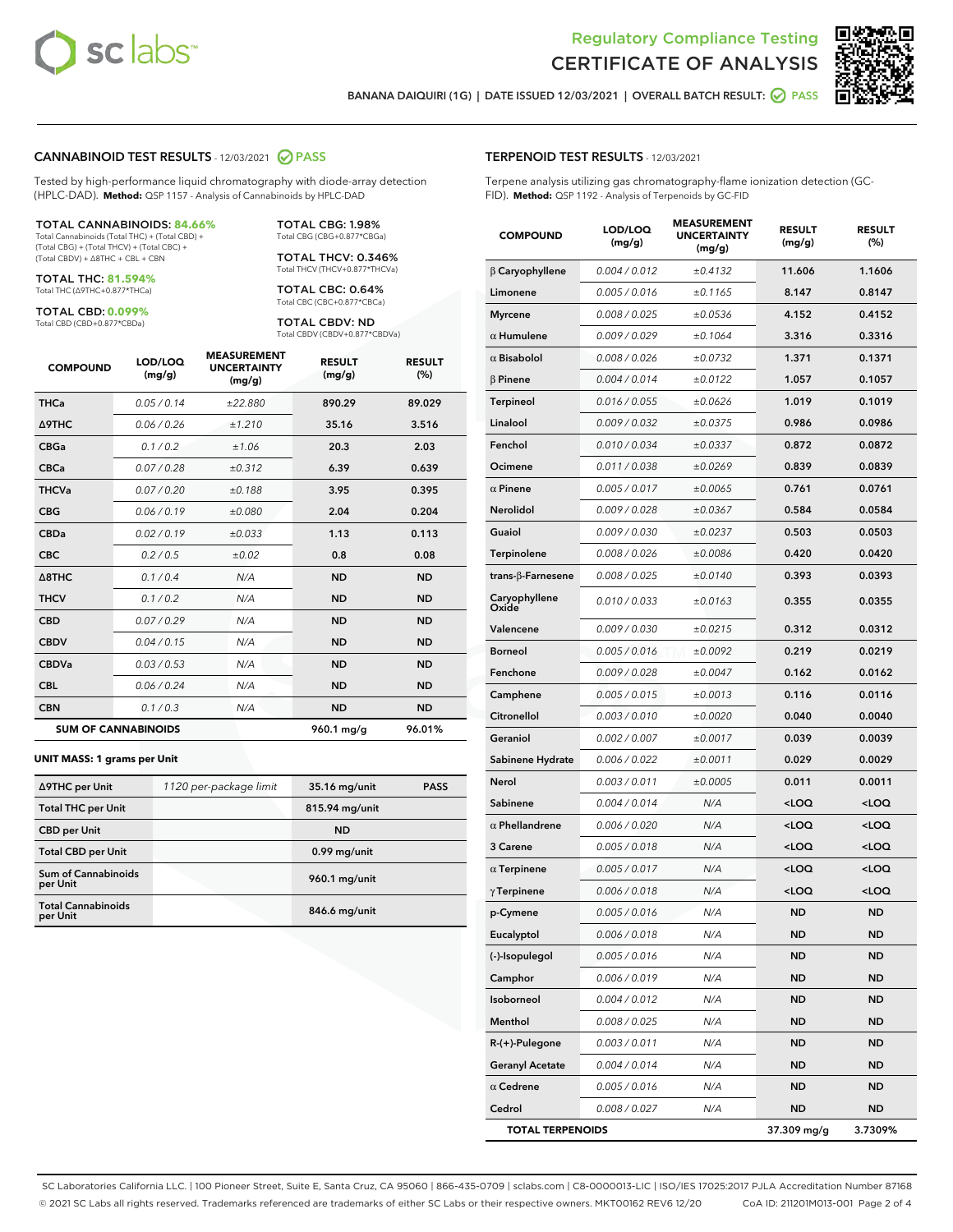



BANANA DAIQUIRI (1G) | DATE ISSUED 12/03/2021 | OVERALL BATCH RESULT: **O PASS** 

#### CANNABINOID TEST RESULTS - 12/03/2021 2 PASS

Tested by high-performance liquid chromatography with diode-array detection (HPLC-DAD). **Method:** QSP 1157 - Analysis of Cannabinoids by HPLC-DAD

#### TOTAL CANNABINOIDS: **84.66%**

Total Cannabinoids (Total THC) + (Total CBD) + (Total CBG) + (Total THCV) + (Total CBC) + (Total CBDV) + ∆8THC + CBL + CBN

TOTAL THC: **81.594%** Total THC (∆9THC+0.877\*THCa)

TOTAL CBD: **0.099%**

Total CBD (CBD+0.877\*CBDa)

TOTAL CBG: 1.98% Total CBG (CBG+0.877\*CBGa)

TOTAL THCV: 0.346% Total THCV (THCV+0.877\*THCVa)

TOTAL CBC: 0.64% Total CBC (CBC+0.877\*CBCa)

TOTAL CBDV: ND Total CBDV (CBDV+0.877\*CBDVa)

| <b>COMPOUND</b>  | LOD/LOQ<br>(mg/g)          | <b>MEASUREMENT</b><br><b>UNCERTAINTY</b><br>(mg/g) | <b>RESULT</b><br>(mg/g) | <b>RESULT</b><br>(%) |
|------------------|----------------------------|----------------------------------------------------|-------------------------|----------------------|
| <b>THCa</b>      | 0.05/0.14                  | ±22.880                                            | 890.29                  | 89.029               |
| <b>A9THC</b>     | 0.06 / 0.26                | ±1.210                                             | 35.16                   | 3.516                |
| <b>CBGa</b>      | 0.1 / 0.2                  | ±1.06                                              | 20.3                    | 2.03                 |
| <b>CBCa</b>      | 0.07/0.28                  | ±0.312                                             | 6.39                    | 0.639                |
| <b>THCVa</b>     | 0.07 / 0.20                | ±0.188                                             | 3.95                    | 0.395                |
| <b>CBG</b>       | 0.06/0.19                  | ±0.080                                             | 2.04                    | 0.204                |
| <b>CBDa</b>      | 0.02/0.19                  | ±0.033                                             | 1.13                    | 0.113                |
| <b>CBC</b>       | 0.2 / 0.5                  | ±0.02                                              | 0.8                     | 0.08                 |
| $\triangle$ 8THC | 0.1 / 0.4                  | N/A                                                | <b>ND</b>               | <b>ND</b>            |
| <b>THCV</b>      | 0.1 / 0.2                  | N/A                                                | <b>ND</b>               | <b>ND</b>            |
| <b>CBD</b>       | 0.07/0.29                  | N/A                                                | <b>ND</b>               | <b>ND</b>            |
| <b>CBDV</b>      | 0.04 / 0.15                | N/A                                                | <b>ND</b>               | <b>ND</b>            |
| <b>CBDVa</b>     | 0.03 / 0.53                | N/A                                                | <b>ND</b>               | <b>ND</b>            |
| <b>CBL</b>       | 0.06 / 0.24                | N/A                                                | <b>ND</b>               | <b>ND</b>            |
| <b>CBN</b>       | 0.1/0.3                    | N/A                                                | <b>ND</b>               | <b>ND</b>            |
|                  | <b>SUM OF CANNABINOIDS</b> |                                                    | 960.1 mg/g              | 96.01%               |

#### **UNIT MASS: 1 grams per Unit**

| ∆9THC per Unit                        | 1120 per-package limit | 35.16 mg/unit  | <b>PASS</b> |
|---------------------------------------|------------------------|----------------|-------------|
| <b>Total THC per Unit</b>             |                        | 815.94 mg/unit |             |
| <b>CBD</b> per Unit                   |                        | <b>ND</b>      |             |
| <b>Total CBD per Unit</b>             |                        | $0.99$ mg/unit |             |
| Sum of Cannabinoids<br>per Unit       |                        | 960.1 mg/unit  |             |
| <b>Total Cannabinoids</b><br>per Unit |                        | 846.6 mg/unit  |             |

#### TERPENOID TEST RESULTS - 12/03/2021

Terpene analysis utilizing gas chromatography-flame ionization detection (GC-FID). **Method:** QSP 1192 - Analysis of Terpenoids by GC-FID

| <b>COMPOUND</b>         | LOD/LOQ<br>(mg/g) | <b>MEASUREMENT</b><br><b>UNCERTAINTY</b><br>(mg/g) | <b>RESULT</b><br>(mg/g)                          | <b>RESULT</b><br>(%) |
|-------------------------|-------------------|----------------------------------------------------|--------------------------------------------------|----------------------|
| $\beta$ Caryophyllene   | 0.004 / 0.012     | ±0.4132                                            | 11.606                                           | 1.1606               |
| Limonene                | 0.005 / 0.016     | ±0.1165                                            | 8.147                                            | 0.8147               |
| <b>Myrcene</b>          | 0.008 / 0.025     | ±0.0536                                            | 4.152                                            | 0.4152               |
| $\alpha$ Humulene       | 0.009/0.029       | ±0.1064                                            | 3.316                                            | 0.3316               |
| $\alpha$ Bisabolol      | 0.008 / 0.026     | ±0.0732                                            | 1.371                                            | 0.1371               |
| $\beta$ Pinene          | 0.004 / 0.014     | ±0.0122                                            | 1.057                                            | 0.1057               |
| <b>Terpineol</b>        | 0.016 / 0.055     | ±0.0626                                            | 1.019                                            | 0.1019               |
| Linalool                | 0.009 / 0.032     | ±0.0375                                            | 0.986                                            | 0.0986               |
| Fenchol                 | 0.010 / 0.034     | ±0.0337                                            | 0.872                                            | 0.0872               |
| Ocimene                 | 0.011 / 0.038     | ±0.0269                                            | 0.839                                            | 0.0839               |
| $\alpha$ Pinene         | 0.005 / 0.017     | ±0.0065                                            | 0.761                                            | 0.0761               |
| Nerolidol               | 0.009 / 0.028     | ±0.0367                                            | 0.584                                            | 0.0584               |
| Guaiol                  | 0.009 / 0.030     | ±0.0237                                            | 0.503                                            | 0.0503               |
| Terpinolene             | 0.008 / 0.026     | ±0.0086                                            | 0.420                                            | 0.0420               |
| trans-β-Farnesene       | 0.008 / 0.025     | ±0.0140                                            | 0.393                                            | 0.0393               |
| Caryophyllene<br>Oxide  | 0.010 / 0.033     | ±0.0163                                            | 0.355                                            | 0.0355               |
| Valencene               | 0.009 / 0.030     | ±0.0215                                            | 0.312                                            | 0.0312               |
| <b>Borneol</b>          | 0.005 / 0.016     | ±0.0092                                            | 0.219                                            | 0.0219               |
| Fenchone                | 0.009 / 0.028     | ±0.0047                                            | 0.162                                            | 0.0162               |
| Camphene                | 0.005 / 0.015     | ±0.0013                                            | 0.116                                            | 0.0116               |
| Citronellol             | 0.003 / 0.010     | ±0.0020                                            | 0.040                                            | 0.0040               |
| Geraniol                | 0.002 / 0.007     | ±0.0017                                            | 0.039                                            | 0.0039               |
| Sabinene Hydrate        | 0.006 / 0.022     | ±0.0011                                            | 0.029                                            | 0.0029               |
| Nerol                   | 0.003 / 0.011     | ±0.0005                                            | 0.011                                            | 0.0011               |
| Sabinene                | 0.004 / 0.014     | N/A                                                | <loq< th=""><th><loq< th=""></loq<></th></loq<>  | <loq< th=""></loq<>  |
| $\alpha$ Phellandrene   | 0.006 / 0.020     | N/A                                                | <loq< th=""><th><loq< th=""></loq<></th></loq<>  | <loq< th=""></loq<>  |
| 3 Carene                | 0.005 / 0.018     | N/A                                                | <loq< th=""><th><math>&lt;</math>LOQ</th></loq<> | $<$ LOQ              |
| $\alpha$ Terpinene      | 0.005 / 0.017     | N/A                                                | <loq< th=""><th><loq< th=""></loq<></th></loq<>  | <loq< th=""></loq<>  |
| $\gamma$ Terpinene      | 0.006 / 0.018     | N/A                                                | <loq< th=""><th><loq< th=""></loq<></th></loq<>  | <loq< th=""></loq<>  |
| p-Cymene                | 0.005 / 0.016     | N/A                                                | <b>ND</b>                                        | ND                   |
| Eucalyptol              | 0.006 / 0.018     | N/A                                                | ND                                               | ND                   |
| (-)-Isopulegol          | 0.005 / 0.016     | N/A                                                | <b>ND</b>                                        | <b>ND</b>            |
| Camphor                 | 0.006 / 0.019     | N/A                                                | <b>ND</b>                                        | <b>ND</b>            |
| Isoborneol              | 0.004 / 0.012     | N/A                                                | ND                                               | ND                   |
| Menthol                 | 0.008 / 0.025     | N/A                                                | <b>ND</b>                                        | ND                   |
| R-(+)-Pulegone          | 0.003 / 0.011     | N/A                                                | <b>ND</b>                                        | <b>ND</b>            |
| <b>Geranyl Acetate</b>  | 0.004 / 0.014     | N/A                                                | <b>ND</b>                                        | <b>ND</b>            |
| $\alpha$ Cedrene        | 0.005 / 0.016     | N/A                                                | <b>ND</b>                                        | <b>ND</b>            |
| Cedrol                  | 0.008 / 0.027     | N/A                                                | <b>ND</b>                                        | ND                   |
| <b>TOTAL TERPENOIDS</b> |                   |                                                    | 37.309 mg/g                                      | 3.7309%              |

SC Laboratories California LLC. | 100 Pioneer Street, Suite E, Santa Cruz, CA 95060 | 866-435-0709 | sclabs.com | C8-0000013-LIC | ISO/IES 17025:2017 PJLA Accreditation Number 87168 © 2021 SC Labs all rights reserved. Trademarks referenced are trademarks of either SC Labs or their respective owners. MKT00162 REV6 12/20 CoA ID: 211201M013-001 Page 2 of 4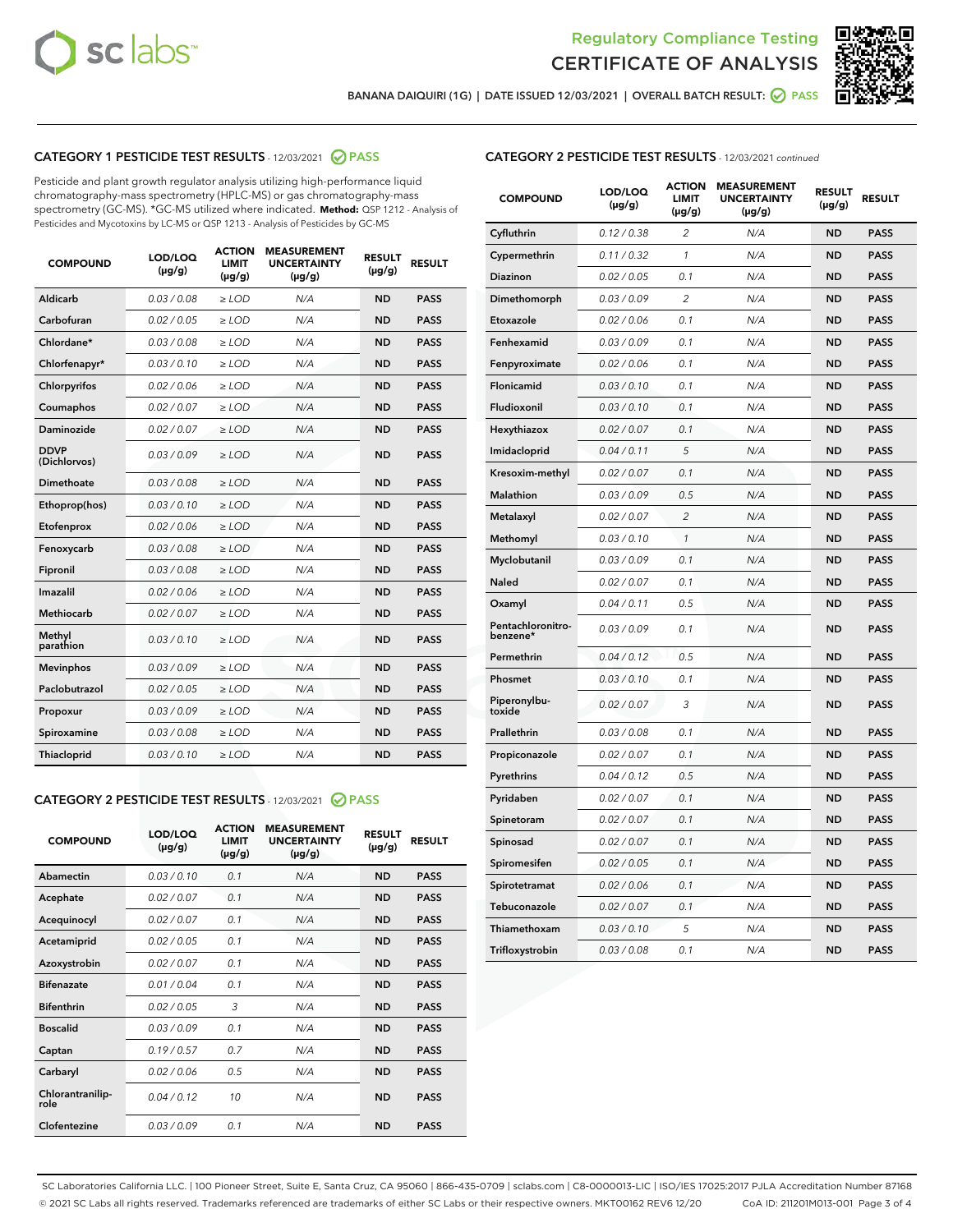



BANANA DAIQUIRI (1G) | DATE ISSUED 12/03/2021 | OVERALL BATCH RESULT: @ PASS

# CATEGORY 1 PESTICIDE TEST RESULTS - 12/03/2021 2 PASS

Pesticide and plant growth regulator analysis utilizing high-performance liquid chromatography-mass spectrometry (HPLC-MS) or gas chromatography-mass spectrometry (GC-MS). \*GC-MS utilized where indicated. **Method:** QSP 1212 - Analysis of Pesticides and Mycotoxins by LC-MS or QSP 1213 - Analysis of Pesticides by GC-MS

| Aldicarb<br>0.03 / 0.08<br><b>ND</b><br>$\ge$ LOD<br>N/A<br><b>PASS</b><br>Carbofuran<br>0.02/0.05<br>N/A<br><b>ND</b><br><b>PASS</b><br>$\ge$ LOD<br>Chlordane*<br>0.03 / 0.08<br><b>ND</b><br><b>PASS</b><br>$\ge$ LOD<br>N/A<br>0.03/0.10<br><b>ND</b><br><b>PASS</b><br>Chlorfenapyr*<br>$\ge$ LOD<br>N/A<br>Chlorpyrifos<br>0.02 / 0.06<br>N/A<br><b>ND</b><br><b>PASS</b><br>$\ge$ LOD<br>0.02 / 0.07<br>N/A<br><b>ND</b><br><b>PASS</b><br>Coumaphos<br>$>$ LOD<br><b>ND</b><br><b>PASS</b><br>Daminozide<br>0.02 / 0.07<br>$\ge$ LOD<br>N/A<br><b>DDVP</b><br>0.03/0.09<br>$\ge$ LOD<br>N/A<br><b>ND</b><br><b>PASS</b><br>(Dichlorvos)<br>Dimethoate<br><b>ND</b><br><b>PASS</b><br>0.03 / 0.08<br>$>$ LOD<br>N/A<br>Ethoprop(hos)<br>0.03/0.10<br>$\ge$ LOD<br>N/A<br><b>ND</b><br><b>PASS</b><br>0.02 / 0.06<br>$\ge$ LOD<br>N/A<br><b>ND</b><br><b>PASS</b><br>Etofenprox<br>Fenoxycarb<br>0.03 / 0.08<br>$>$ LOD<br>N/A<br><b>ND</b><br><b>PASS</b><br>0.03/0.08<br><b>ND</b><br><b>PASS</b><br>Fipronil<br>$\ge$ LOD<br>N/A<br>Imazalil<br>0.02 / 0.06<br>$>$ LOD<br>N/A<br><b>ND</b><br><b>PASS</b><br>Methiocarb<br>0.02 / 0.07<br>N/A<br><b>ND</b><br><b>PASS</b><br>$\ge$ LOD<br>Methyl<br>0.03/0.10<br>$\ge$ LOD<br>N/A<br><b>ND</b><br><b>PASS</b><br>parathion<br>0.03/0.09<br>$\ge$ LOD<br>N/A<br><b>ND</b><br><b>PASS</b><br><b>Mevinphos</b><br>Paclobutrazol<br>0.02 / 0.05<br>$\ge$ LOD<br>N/A<br><b>ND</b><br><b>PASS</b><br>0.03/0.09<br>N/A<br>$\ge$ LOD<br><b>ND</b><br><b>PASS</b><br>Propoxur<br>0.03 / 0.08<br><b>ND</b><br><b>PASS</b><br>Spiroxamine<br>$\ge$ LOD<br>N/A<br><b>PASS</b><br>Thiacloprid<br>0.03/0.10<br>$\ge$ LOD<br>N/A<br><b>ND</b> | <b>COMPOUND</b> | LOD/LOQ<br>$(\mu g/g)$ | <b>ACTION</b><br><b>LIMIT</b><br>$(\mu g/g)$ | <b>MEASUREMENT</b><br><b>UNCERTAINTY</b><br>$(\mu g/g)$ | <b>RESULT</b><br>$(\mu g/g)$ | <b>RESULT</b> |
|-----------------------------------------------------------------------------------------------------------------------------------------------------------------------------------------------------------------------------------------------------------------------------------------------------------------------------------------------------------------------------------------------------------------------------------------------------------------------------------------------------------------------------------------------------------------------------------------------------------------------------------------------------------------------------------------------------------------------------------------------------------------------------------------------------------------------------------------------------------------------------------------------------------------------------------------------------------------------------------------------------------------------------------------------------------------------------------------------------------------------------------------------------------------------------------------------------------------------------------------------------------------------------------------------------------------------------------------------------------------------------------------------------------------------------------------------------------------------------------------------------------------------------------------------------------------------------------------------------------------------------------------------------------------------------------------|-----------------|------------------------|----------------------------------------------|---------------------------------------------------------|------------------------------|---------------|
|                                                                                                                                                                                                                                                                                                                                                                                                                                                                                                                                                                                                                                                                                                                                                                                                                                                                                                                                                                                                                                                                                                                                                                                                                                                                                                                                                                                                                                                                                                                                                                                                                                                                                         |                 |                        |                                              |                                                         |                              |               |
|                                                                                                                                                                                                                                                                                                                                                                                                                                                                                                                                                                                                                                                                                                                                                                                                                                                                                                                                                                                                                                                                                                                                                                                                                                                                                                                                                                                                                                                                                                                                                                                                                                                                                         |                 |                        |                                              |                                                         |                              |               |
|                                                                                                                                                                                                                                                                                                                                                                                                                                                                                                                                                                                                                                                                                                                                                                                                                                                                                                                                                                                                                                                                                                                                                                                                                                                                                                                                                                                                                                                                                                                                                                                                                                                                                         |                 |                        |                                              |                                                         |                              |               |
|                                                                                                                                                                                                                                                                                                                                                                                                                                                                                                                                                                                                                                                                                                                                                                                                                                                                                                                                                                                                                                                                                                                                                                                                                                                                                                                                                                                                                                                                                                                                                                                                                                                                                         |                 |                        |                                              |                                                         |                              |               |
|                                                                                                                                                                                                                                                                                                                                                                                                                                                                                                                                                                                                                                                                                                                                                                                                                                                                                                                                                                                                                                                                                                                                                                                                                                                                                                                                                                                                                                                                                                                                                                                                                                                                                         |                 |                        |                                              |                                                         |                              |               |
|                                                                                                                                                                                                                                                                                                                                                                                                                                                                                                                                                                                                                                                                                                                                                                                                                                                                                                                                                                                                                                                                                                                                                                                                                                                                                                                                                                                                                                                                                                                                                                                                                                                                                         |                 |                        |                                              |                                                         |                              |               |
|                                                                                                                                                                                                                                                                                                                                                                                                                                                                                                                                                                                                                                                                                                                                                                                                                                                                                                                                                                                                                                                                                                                                                                                                                                                                                                                                                                                                                                                                                                                                                                                                                                                                                         |                 |                        |                                              |                                                         |                              |               |
|                                                                                                                                                                                                                                                                                                                                                                                                                                                                                                                                                                                                                                                                                                                                                                                                                                                                                                                                                                                                                                                                                                                                                                                                                                                                                                                                                                                                                                                                                                                                                                                                                                                                                         |                 |                        |                                              |                                                         |                              |               |
|                                                                                                                                                                                                                                                                                                                                                                                                                                                                                                                                                                                                                                                                                                                                                                                                                                                                                                                                                                                                                                                                                                                                                                                                                                                                                                                                                                                                                                                                                                                                                                                                                                                                                         |                 |                        |                                              |                                                         |                              |               |
|                                                                                                                                                                                                                                                                                                                                                                                                                                                                                                                                                                                                                                                                                                                                                                                                                                                                                                                                                                                                                                                                                                                                                                                                                                                                                                                                                                                                                                                                                                                                                                                                                                                                                         |                 |                        |                                              |                                                         |                              |               |
|                                                                                                                                                                                                                                                                                                                                                                                                                                                                                                                                                                                                                                                                                                                                                                                                                                                                                                                                                                                                                                                                                                                                                                                                                                                                                                                                                                                                                                                                                                                                                                                                                                                                                         |                 |                        |                                              |                                                         |                              |               |
|                                                                                                                                                                                                                                                                                                                                                                                                                                                                                                                                                                                                                                                                                                                                                                                                                                                                                                                                                                                                                                                                                                                                                                                                                                                                                                                                                                                                                                                                                                                                                                                                                                                                                         |                 |                        |                                              |                                                         |                              |               |
|                                                                                                                                                                                                                                                                                                                                                                                                                                                                                                                                                                                                                                                                                                                                                                                                                                                                                                                                                                                                                                                                                                                                                                                                                                                                                                                                                                                                                                                                                                                                                                                                                                                                                         |                 |                        |                                              |                                                         |                              |               |
|                                                                                                                                                                                                                                                                                                                                                                                                                                                                                                                                                                                                                                                                                                                                                                                                                                                                                                                                                                                                                                                                                                                                                                                                                                                                                                                                                                                                                                                                                                                                                                                                                                                                                         |                 |                        |                                              |                                                         |                              |               |
|                                                                                                                                                                                                                                                                                                                                                                                                                                                                                                                                                                                                                                                                                                                                                                                                                                                                                                                                                                                                                                                                                                                                                                                                                                                                                                                                                                                                                                                                                                                                                                                                                                                                                         |                 |                        |                                              |                                                         |                              |               |
|                                                                                                                                                                                                                                                                                                                                                                                                                                                                                                                                                                                                                                                                                                                                                                                                                                                                                                                                                                                                                                                                                                                                                                                                                                                                                                                                                                                                                                                                                                                                                                                                                                                                                         |                 |                        |                                              |                                                         |                              |               |
|                                                                                                                                                                                                                                                                                                                                                                                                                                                                                                                                                                                                                                                                                                                                                                                                                                                                                                                                                                                                                                                                                                                                                                                                                                                                                                                                                                                                                                                                                                                                                                                                                                                                                         |                 |                        |                                              |                                                         |                              |               |
|                                                                                                                                                                                                                                                                                                                                                                                                                                                                                                                                                                                                                                                                                                                                                                                                                                                                                                                                                                                                                                                                                                                                                                                                                                                                                                                                                                                                                                                                                                                                                                                                                                                                                         |                 |                        |                                              |                                                         |                              |               |
|                                                                                                                                                                                                                                                                                                                                                                                                                                                                                                                                                                                                                                                                                                                                                                                                                                                                                                                                                                                                                                                                                                                                                                                                                                                                                                                                                                                                                                                                                                                                                                                                                                                                                         |                 |                        |                                              |                                                         |                              |               |
|                                                                                                                                                                                                                                                                                                                                                                                                                                                                                                                                                                                                                                                                                                                                                                                                                                                                                                                                                                                                                                                                                                                                                                                                                                                                                                                                                                                                                                                                                                                                                                                                                                                                                         |                 |                        |                                              |                                                         |                              |               |
|                                                                                                                                                                                                                                                                                                                                                                                                                                                                                                                                                                                                                                                                                                                                                                                                                                                                                                                                                                                                                                                                                                                                                                                                                                                                                                                                                                                                                                                                                                                                                                                                                                                                                         |                 |                        |                                              |                                                         |                              |               |

# CATEGORY 2 PESTICIDE TEST RESULTS - 12/03/2021 @ PASS

| <b>COMPOUND</b>          | LOD/LOO<br>$(\mu g/g)$ | <b>ACTION</b><br>LIMIT<br>$(\mu g/g)$ | <b>MEASUREMENT</b><br><b>UNCERTAINTY</b><br>$(\mu g/g)$ | <b>RESULT</b><br>$(\mu g/g)$ | <b>RESULT</b> |  |
|--------------------------|------------------------|---------------------------------------|---------------------------------------------------------|------------------------------|---------------|--|
| Abamectin                | 0.03/0.10              | 0.1                                   | N/A                                                     | <b>ND</b>                    | <b>PASS</b>   |  |
| Acephate                 | 0.02/0.07              | 0.1                                   | N/A                                                     | <b>ND</b>                    | <b>PASS</b>   |  |
| Acequinocyl              | 0.02/0.07              | 0.1                                   | N/A                                                     | <b>ND</b>                    | <b>PASS</b>   |  |
| Acetamiprid              | 0.02 / 0.05            | 0.1                                   | N/A                                                     | <b>ND</b>                    | <b>PASS</b>   |  |
| Azoxystrobin             | 0.02/0.07              | 0.1                                   | N/A                                                     | <b>ND</b>                    | <b>PASS</b>   |  |
| <b>Bifenazate</b>        | 0.01 / 0.04            | 0.1                                   | N/A                                                     | <b>ND</b>                    | <b>PASS</b>   |  |
| <b>Bifenthrin</b>        | 0.02/0.05              | 3                                     | N/A                                                     | <b>ND</b>                    | <b>PASS</b>   |  |
| <b>Boscalid</b>          | 0.03/0.09              | 0.1                                   | N/A                                                     | <b>ND</b>                    | <b>PASS</b>   |  |
| Captan                   | 0.19/0.57              | 0.7                                   | N/A                                                     | <b>ND</b>                    | <b>PASS</b>   |  |
| Carbaryl                 | 0.02/0.06              | 0.5                                   | N/A                                                     | <b>ND</b>                    | <b>PASS</b>   |  |
| Chlorantranilip-<br>role | 0.04/0.12              | 10                                    | N/A                                                     | <b>ND</b>                    | <b>PASS</b>   |  |
| Clofentezine             | 0.03/0.09              | 0.1                                   | N/A                                                     | <b>ND</b>                    | <b>PASS</b>   |  |

| <b>COMPOUND</b>               | LOD/LOQ<br>(µg/g) | <b>ACTION</b><br><b>LIMIT</b><br>$(\mu g/g)$ | <b>MEASUREMENT</b><br><b>UNCERTAINTY</b><br>$(\mu g/g)$ | <b>RESULT</b><br>(µg/g) | <b>RESULT</b> |
|-------------------------------|-------------------|----------------------------------------------|---------------------------------------------------------|-------------------------|---------------|
| Cyfluthrin                    | 0.12 / 0.38       | $\overline{c}$                               | N/A                                                     | ND                      | <b>PASS</b>   |
| Cypermethrin                  | 0.11 / 0.32       | $\mathcal{I}$                                | N/A                                                     | ND                      | <b>PASS</b>   |
| <b>Diazinon</b>               | 0.02 / 0.05       | 0.1                                          | N/A                                                     | <b>ND</b>               | <b>PASS</b>   |
| Dimethomorph                  | 0.03 / 0.09       | 2                                            | N/A                                                     | ND                      | <b>PASS</b>   |
| Etoxazole                     | 0.02 / 0.06       | 0.1                                          | N/A                                                     | ND                      | <b>PASS</b>   |
| Fenhexamid                    | 0.03 / 0.09       | 0.1                                          | N/A                                                     | ND                      | <b>PASS</b>   |
| Fenpyroximate                 | 0.02 / 0.06       | 0.1                                          | N/A                                                     | <b>ND</b>               | <b>PASS</b>   |
| Flonicamid                    | 0.03 / 0.10       | 0.1                                          | N/A                                                     | ND                      | <b>PASS</b>   |
| Fludioxonil                   | 0.03 / 0.10       | 0.1                                          | N/A                                                     | ND                      | <b>PASS</b>   |
| Hexythiazox                   | 0.02 / 0.07       | 0.1                                          | N/A                                                     | ND                      | <b>PASS</b>   |
| Imidacloprid                  | 0.04 / 0.11       | 5                                            | N/A                                                     | ND                      | <b>PASS</b>   |
| Kresoxim-methyl               | 0.02 / 0.07       | 0.1                                          | N/A                                                     | ND                      | <b>PASS</b>   |
| <b>Malathion</b>              | 0.03 / 0.09       | 0.5                                          | N/A                                                     | <b>ND</b>               | <b>PASS</b>   |
| Metalaxyl                     | 0.02 / 0.07       | $\overline{c}$                               | N/A                                                     | <b>ND</b>               | <b>PASS</b>   |
| Methomyl                      | 0.03 / 0.10       | $\mathcal{I}$                                | N/A                                                     | <b>ND</b>               | <b>PASS</b>   |
| Myclobutanil                  | 0.03 / 0.09       | 0.1                                          | N/A                                                     | <b>ND</b>               | <b>PASS</b>   |
| Naled                         | 0.02 / 0.07       | 0.1                                          | N/A                                                     | <b>ND</b>               | <b>PASS</b>   |
| Oxamyl                        | 0.04 / 0.11       | 0.5                                          | N/A                                                     | <b>ND</b>               | <b>PASS</b>   |
| Pentachloronitro-<br>benzene* | 0.03 / 0.09       | 0.1                                          | N/A                                                     | <b>ND</b>               | <b>PASS</b>   |
| Permethrin                    | 0.04 / 0.12       | 0.5                                          | N/A                                                     | <b>ND</b>               | <b>PASS</b>   |
| Phosmet                       | 0.03 / 0.10       | 0.1                                          | N/A                                                     | <b>ND</b>               | <b>PASS</b>   |
| Piperonylbu-<br>toxide        | 0.02 / 0.07       | 3                                            | N/A                                                     | <b>ND</b>               | <b>PASS</b>   |
| Prallethrin                   | 0.03 / 0.08       | 0.1                                          | N/A                                                     | ND                      | <b>PASS</b>   |
| Propiconazole                 | 0.02 / 0.07       | 0.1                                          | N/A                                                     | <b>ND</b>               | <b>PASS</b>   |
| Pyrethrins                    | 0.04 / 0.12       | 0.5                                          | N/A                                                     | ND                      | <b>PASS</b>   |
| Pyridaben                     | 0.02 / 0.07       | 0.1                                          | N/A                                                     | ND                      | <b>PASS</b>   |
| Spinetoram                    | 0.02 / 0.07       | 0.1                                          | N/A                                                     | <b>ND</b>               | <b>PASS</b>   |
| Spinosad                      | 0.02 / 0.07       | 0.1                                          | N/A                                                     | <b>ND</b>               | <b>PASS</b>   |
| Spiromesifen                  | 0.02 / 0.05       | 0.1                                          | N/A                                                     | ND                      | <b>PASS</b>   |
| Spirotetramat                 | 0.02 / 0.06       | 0.1                                          | N/A                                                     | <b>ND</b>               | <b>PASS</b>   |
| Tebuconazole                  | 0.02 / 0.07       | 0.1                                          | N/A                                                     | ND                      | <b>PASS</b>   |
| Thiamethoxam                  | 0.03 / 0.10       | 5                                            | N/A                                                     | ND                      | <b>PASS</b>   |
| Trifloxystrobin               | 0.03 / 0.08       | 0.1                                          | N/A                                                     | ND                      | <b>PASS</b>   |

SC Laboratories California LLC. | 100 Pioneer Street, Suite E, Santa Cruz, CA 95060 | 866-435-0709 | sclabs.com | C8-0000013-LIC | ISO/IES 17025:2017 PJLA Accreditation Number 87168 © 2021 SC Labs all rights reserved. Trademarks referenced are trademarks of either SC Labs or their respective owners. MKT00162 REV6 12/20 CoA ID: 211201M013-001 Page 3 of 4